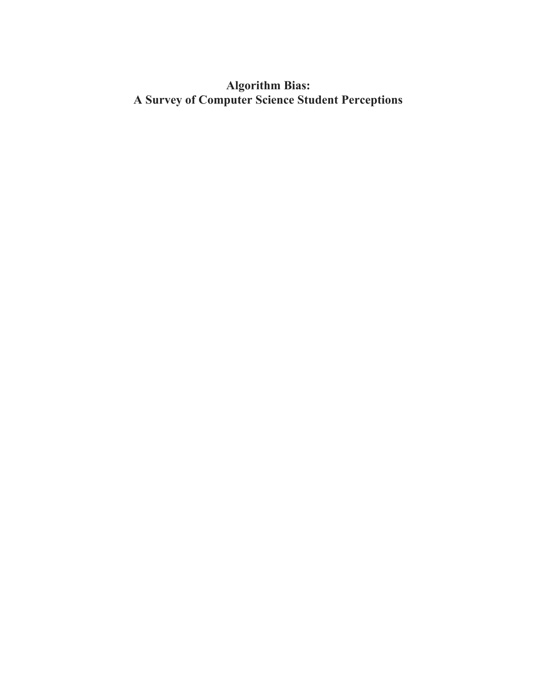# **Algorithm Bias: A Survey of Computer Science Student Perceptions**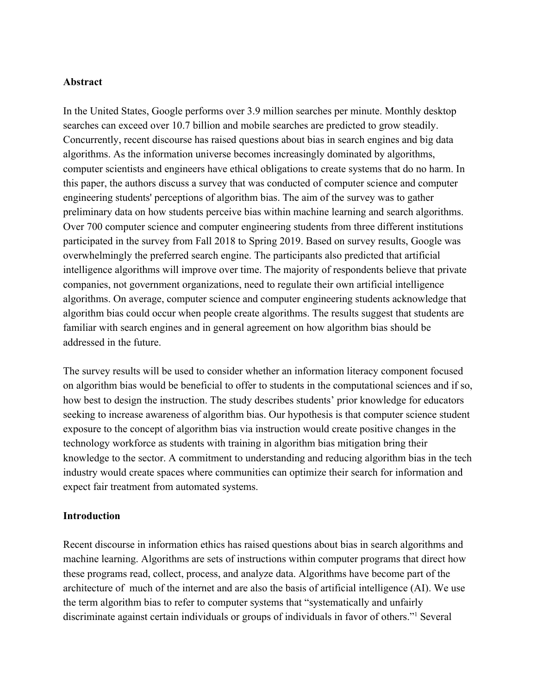#### **Abstract**

In the United States, Google performs over 3.9 million searches per minute. Monthly desktop searches can exceed over 10.7 billion and mobile searches are predicted to grow steadily. Concurrently, recent discourse has raised questions about bias in search engines and big data algorithms. As the information universe becomes increasingly dominated by algorithms, computer scientists and engineers have ethical obligations to create systems that do no harm. In this paper, the authors discuss a survey that was conducted of computer science and computer engineering students' perceptions of algorithm bias. The aim of the survey was to gather preliminary data on how students perceive bias within machine learning and search algorithms. Over 700 computer science and computer engineering students from three different institutions participated in the survey from Fall 2018 to Spring 2019. Based on survey results, Google was overwhelmingly the preferred search engine. The participants also predicted that artificial intelligence algorithms will improve over time. The majority of respondents believe that private companies, not government organizations, need to regulate their own artificial intelligence algorithms. On average, computer science and computer engineering students acknowledge that algorithm bias could occur when people create algorithms. The results suggest that students are familiar with search engines and in general agreement on how algorithm bias should be addressed in the future.

The survey results will be used to consider whether an information literacy component focused on algorithm bias would be beneficial to offer to students in the computational sciences and if so, how best to design the instruction. The study describes students' prior knowledge for educators seeking to increase awareness of algorithm bias. Our hypothesis is that computer science student exposure to the concept of algorithm bias via instruction would create positive changes in the technology workforce as students with training in algorithm bias mitigation bring their knowledge to the sector. A commitment to understanding and reducing algorithm bias in the tech industry would create spaces where communities can optimize their search for information and expect fair treatment from automated systems.

### **Introduction**

Recent discourse in information ethics has raised questions about bias in search algorithms and machine learning. Algorithms are sets of instructions within computer programs that direct how these programs read, collect, process, and analyze data. Algorithms have become part of the architecture of much of the internet and are also the basis of artificial intelligence (AI). We use the term algorithm bias to refer to computer systems that "systematically and unfairly discriminate against certain individuals or groups of individuals in favor of others."<sup>1</sup> Several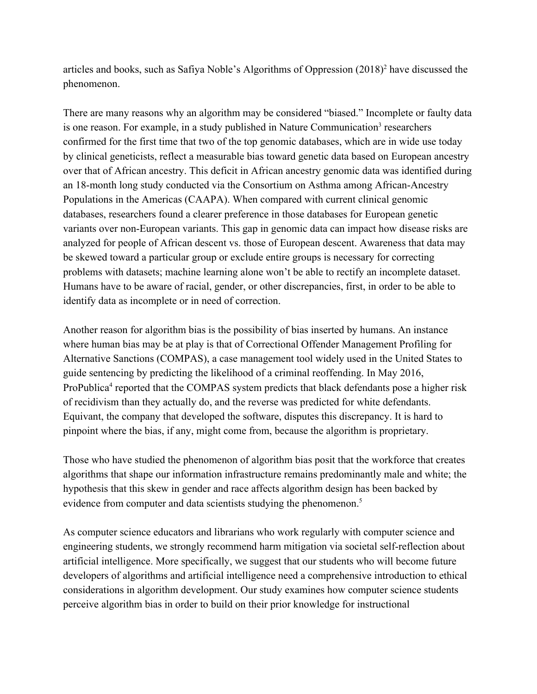articles and books, such as Safiya Noble's Algorithms of Oppression (2018)<sup>2</sup> have discussed the phenomenon.

There are many reasons why an algorithm may be considered "biased." Incomplete or faulty data is one reason. For example, in a study published in Nature Communication<sup>3</sup> researchers confirmed for the first time that two of the top genomic databases, which are in wide use today by clinical geneticists, reflect a measurable bias toward genetic data based on European ancestry over that of African ancestry. This deficit in African ancestry genomic data was identified during an 18-month long study conducted via the Consortium on Asthma among African-Ancestry Populations in the Americas (CAAPA). When compared with current clinical genomic databases, researchers found a clearer preference in those databases for European genetic variants over non-European variants. This gap in genomic data can impact how disease risks are analyzed for people of African descent vs. those of European descent. Awareness that data may be skewed toward a particular group or exclude entire groups is necessary for correcting problems with datasets; machine learning alone won't be able to rectify an incomplete dataset. Humans have to be aware of racial, gender, or other discrepancies, first, in order to be able to identify data as incomplete or in need of correction.

Another reason for algorithm bias is the possibility of bias inserted by humans. An instance where human bias may be at play is that of Correctional Offender Management Profiling for Alternative Sanctions (COMPAS), a case management tool widely used in the United States to guide sentencing by predicting the likelihood of a criminal reoffending. In May 2016, ProPublica<sup>4</sup> reported that the COMPAS system predicts that black defendants pose a higher risk of recidivism than they actually do, and the reverse was predicted for white defendants. Equivant, the company that developed the software, disputes this discrepancy. It is hard to pinpoint where the bias, if any, might come from, because the algorithm is proprietary.

Those who have studied the phenomenon of algorithm bias posit that the workforce that creates algorithms that shape our information infrastructure remains predominantly male and white; the hypothesis that this skew in gender and race affects algorithm design has been backed by evidence from computer and data scientists studying the phenomenon.<sup>5</sup>

As computer science educators and librarians who work regularly with computer science and engineering students, we strongly recommend harm mitigation via societal self-reflection about artificial intelligence. More specifically, we suggest that our students who will become future developers of algorithms and artificial intelligence need a comprehensive introduction to ethical considerations in algorithm development. Our study examines how computer science students perceive algorithm bias in order to build on their prior knowledge for instructional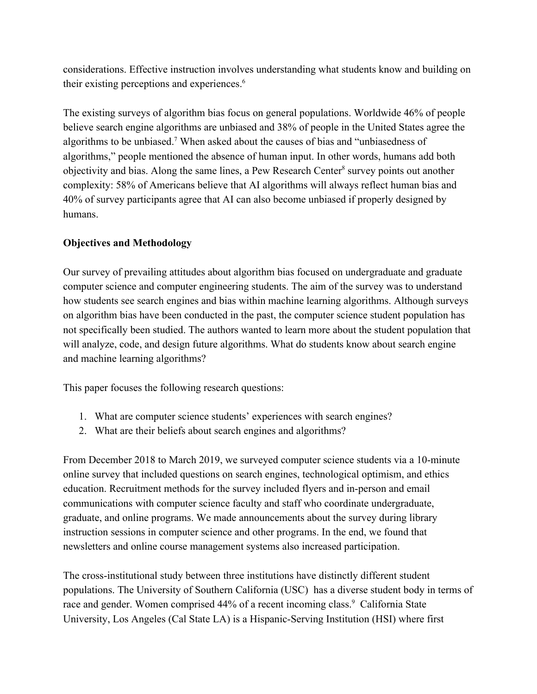considerations. Effective instruction involves understanding what students know and building on their existing perceptions and experiences.<sup>6</sup>

The existing surveys of algorithm bias focus on general populations. Worldwide 46% of people believe search engine algorithms are unbiased and 38% of people in the United States agree the algorithms to be unbiased.<sup>7</sup> When asked about the causes of bias and "unbiasedness of algorithms," people mentioned the absence of human input. In other words, humans add both objectivity and bias. Along the same lines, a Pew Research Center<sup>8</sup> survey points out another complexity: 58% of Americans believe that AI algorithms will always reflect human bias and 40% of survey participants agree that AI can also become unbiased if properly designed by humans.

### **Objectives and Methodology**

Our survey of prevailing attitudes about algorithm bias focused on undergraduate and graduate computer science and computer engineering students. The aim of the survey was to understand how students see search engines and bias within machine learning algorithms. Although surveys on algorithm bias have been conducted in the past, the computer science student population has not specifically been studied. The authors wanted to learn more about the student population that will analyze, code, and design future algorithms. What do students know about search engine and machine learning algorithms?

This paper focuses the following research questions:

- 1. What are computer science students' experiences with search engines?
- 2. What are their beliefs about search engines and algorithms?

From December 2018 to March 2019, we surveyed computer science students via a 10-minute online survey that included questions on search engines, technological optimism, and ethics education. Recruitment methods for the survey included flyers and in-person and email communications with computer science faculty and staff who coordinate undergraduate, graduate, and online programs. We made announcements about the survey during library instruction sessions in computer science and other programs. In the end, we found that newsletters and online course management systems also increased participation.

The cross-institutional study between three institutions have distinctly different student populations. The University of Southern California (USC) has a diverse student body in terms of race and gender. Women comprised 44% of a recent incoming class.<sup>9</sup> California State University, Los Angeles (Cal State LA) is a Hispanic-Serving Institution (HSI) where first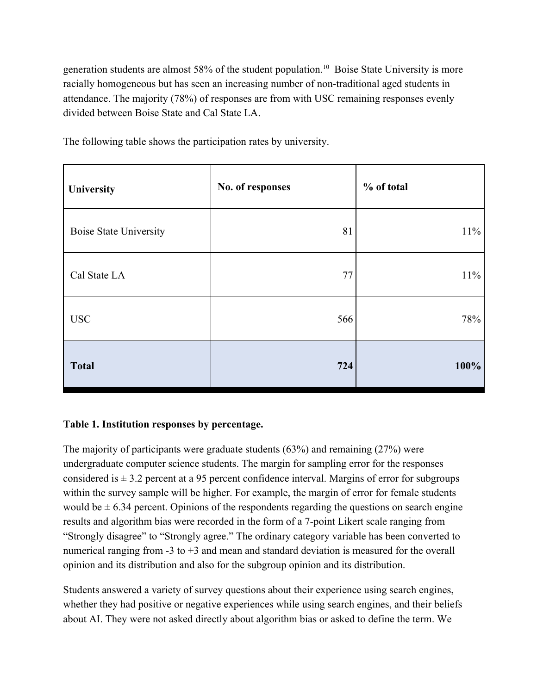generation students are almost 58% of the student population.<sup>10</sup> Boise State University is more racially homogeneous but has seen an increasing number of non-traditional aged students in attendance. The majority (78%) of responses are from with USC remaining responses evenly divided between Boise State and Cal State LA.

| University                    | No. of responses | % of total |
|-------------------------------|------------------|------------|
| <b>Boise State University</b> | 81               | $11\%$     |
| Cal State LA                  | 77               | $11\%$     |
| <b>USC</b>                    | 566              | 78%        |
| <b>Total</b>                  | 724              | 100%       |

The following table shows the participation rates by university.

### **Table 1. Institution responses by percentage.**

The majority of participants were graduate students (63%) and remaining (27%) were undergraduate computer science students. The margin for sampling error for the responses considered is  $\pm$  3.2 percent at a 95 percent confidence interval. Margins of error for subgroups within the survey sample will be higher. For example, the margin of error for female students would be  $\pm$  6.34 percent. Opinions of the respondents regarding the questions on search engine results and algorithm bias were recorded in the form of a 7-point Likert scale ranging from "Strongly disagree" to "Strongly agree." The ordinary category variable has been converted to numerical ranging from -3 to +3 and mean and standard deviation is measured for the overall opinion and its distribution and also for the subgroup opinion and its distribution.

Students answered a variety of survey questions about their experience using search engines, whether they had positive or negative experiences while using search engines, and their beliefs about AI. They were not asked directly about algorithm bias or asked to define the term. We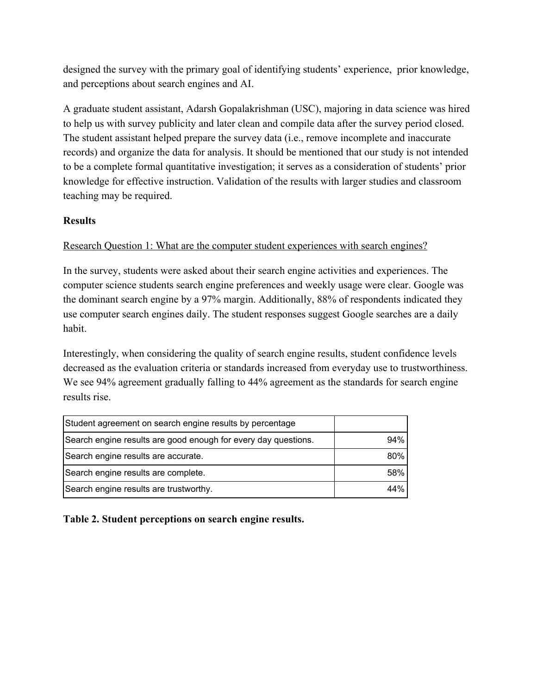designed the survey with the primary goal of identifying students' experience, prior knowledge, and perceptions about search engines and AI.

A graduate student assistant, Adarsh Gopalakrishman (USC), majoring in data science was hired to help us with survey publicity and later clean and compile data after the survey period closed. The student assistant helped prepare the survey data (i.e., remove incomplete and inaccurate records) and organize the data for analysis. It should be mentioned that our study is not intended to be a complete formal quantitative investigation; it serves as a consideration of students' prior knowledge for effective instruction. Validation of the results with larger studies and classroom teaching may be required.

# **Results**

# Research Question 1: What are the computer student experiences with search engines?

In the survey, students were asked about their search engine activities and experiences. The computer science students search engine preferences and weekly usage were clear. Google was the dominant search engine by a 97% margin. Additionally, 88% of respondents indicated they use computer search engines daily. The student responses suggest Google searches are a daily habit.

Interestingly, when considering the quality of search engine results, student confidence levels decreased as the evaluation criteria or standards increased from everyday use to trustworthiness. We see 94% agreement gradually falling to 44% agreement as the standards for search engine results rise.

| Student agreement on search engine results by percentage       |     |
|----------------------------------------------------------------|-----|
| Search engine results are good enough for every day questions. | 94% |
| Search engine results are accurate.                            | 80% |
| Search engine results are complete.                            | 58% |
| Search engine results are trustworthy.                         | 44% |

# **Table 2. Student perceptions on search engine results.**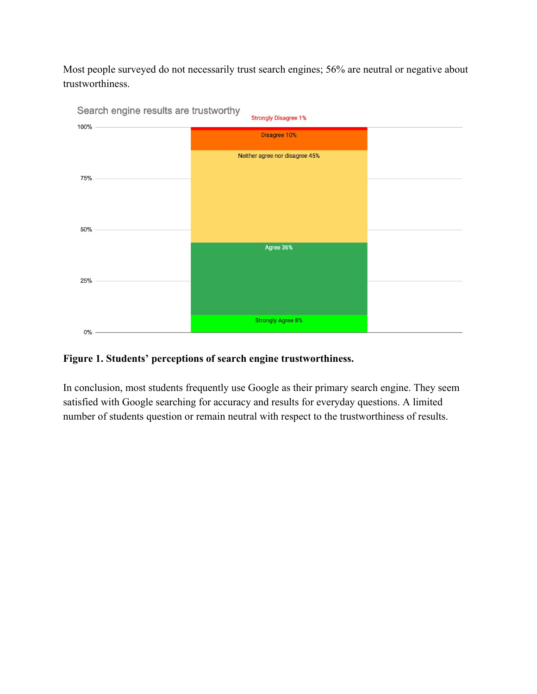Most people surveyed do not necessarily trust search engines; 56% are neutral or negative about trustworthiness.



# **Figure 1. Students' perceptions of search engine trustworthiness.**

In conclusion, most students frequently use Google as their primary search engine. They seem satisfied with Google searching for accuracy and results for everyday questions. A limited number of students question or remain neutral with respect to the trustworthiness of results.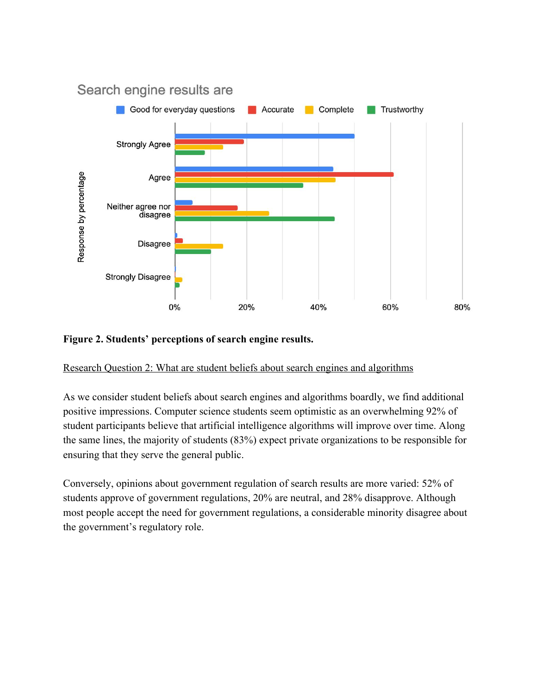

#### **Figure 2. Students' perceptions of search engine results.**

Research Question 2: What are student beliefs about search engines and algorithms

As we consider student beliefs about search engines and algorithms boardly, we find additional positive impressions. Computer science students seem optimistic as an overwhelming 92% of student participants believe that artificial intelligence algorithms will improve over time. Along the same lines, the majority of students (83%) expect private organizations to be responsible for ensuring that they serve the general public.

Conversely, opinions about government regulation of search results are more varied: 52% of students approve of government regulations, 20% are neutral, and 28% disapprove. Although most people accept the need for government regulations, a considerable minority disagree about the government's regulatory role.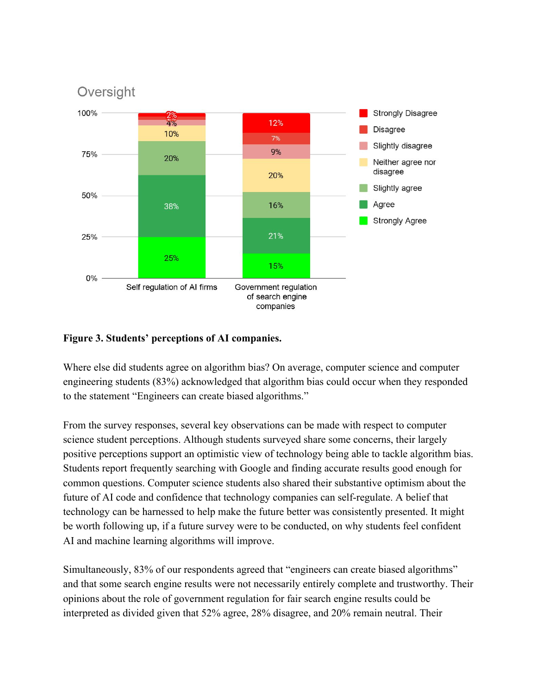

### **Figure 3. Students' perceptions of AI companies.**

Where else did students agree on algorithm bias? On average, computer science and computer engineering students (83%) acknowledged that algorithm bias could occur when they responded to the statement "Engineers can create biased algorithms."

From the survey responses, several key observations can be made with respect to computer science student perceptions. Although students surveyed share some concerns, their largely positive perceptions support an optimistic view of technology being able to tackle algorithm bias. Students report frequently searching with Google and finding accurate results good enough for common questions. Computer science students also shared their substantive optimism about the future of AI code and confidence that technology companies can self-regulate. A belief that technology can be harnessed to help make the future better was consistently presented. It might be worth following up, if a future survey were to be conducted, on why students feel confident AI and machine learning algorithms will improve.

Simultaneously, 83% of our respondents agreed that "engineers can create biased algorithms" and that some search engine results were not necessarily entirely complete and trustworthy. Their opinions about the role of government regulation for fair search engine results could be interpreted as divided given that 52% agree, 28% disagree, and 20% remain neutral. Their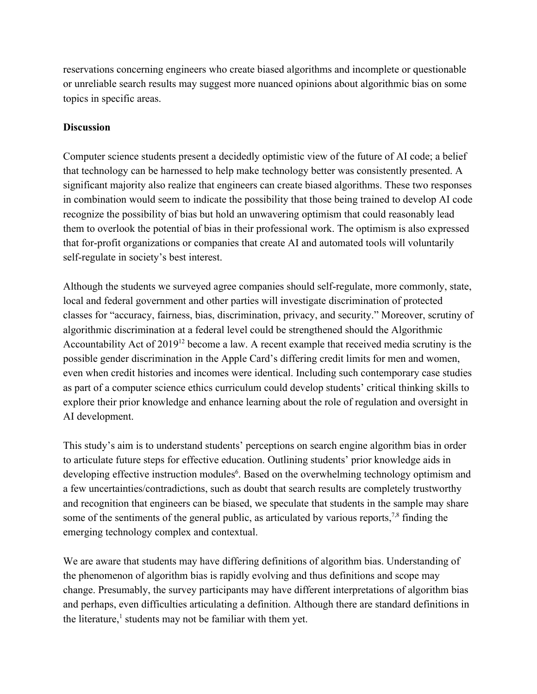reservations concerning engineers who create biased algorithms and incomplete or questionable or unreliable search results may suggest more nuanced opinions about algorithmic bias on some topics in specific areas.

### **Discussion**

Computer science students present a decidedly optimistic view of the future of AI code; a belief that technology can be harnessed to help make technology better was consistently presented. A significant majority also realize that engineers can create biased algorithms. These two responses in combination would seem to indicate the possibility that those being trained to develop AI code recognize the possibility of bias but hold an unwavering optimism that could reasonably lead them to overlook the potential of bias in their professional work. The optimism is also expressed that for-profit organizations or companies that create AI and automated tools will voluntarily self-regulate in society's best interest.

Although the students we surveyed agree companies should self-regulate, more commonly, state, local and federal government and other parties will investigate discrimination of protected classes for "accuracy, fairness, bias, discrimination, privacy, and security." Moreover, scrutiny of algorithmic discrimination at a federal level could be strengthened should the Algorithmic Accountability Act of 2019<sup>12</sup> become a law. A recent example that received media scrutiny is the possible gender discrimination in the Apple Card's differing credit limits for men and women, even when credit histories and incomes were identical. Including such contemporary case studies as part of a computer science ethics curriculum could develop students' critical thinking skills to explore their prior knowledge and enhance learning about the role of regulation and oversight in AI development.

This study's aim is to understand students' perceptions on search engine algorithm bias in order to articulate future steps for effective education. Outlining students' prior knowledge aids in developing effective instruction modules<sup>6</sup>. Based on the overwhelming technology optimism and a few uncertainties/contradictions, such as doubt that search results are completely trustworthy and recognition that engineers can be biased, we speculate that students in the sample may share some of the sentiments of the general public, as articulated by various reports,  $78$  finding the emerging technology complex and contextual.

We are aware that students may have differing definitions of algorithm bias. Understanding of the phenomenon of algorithm bias is rapidly evolving and thus definitions and scope may change. Presumably, the survey participants may have different interpretations of algorithm bias and perhaps, even difficulties articulating a definition. Although there are standard definitions in the literature,<sup>1</sup> students may not be familiar with them yet.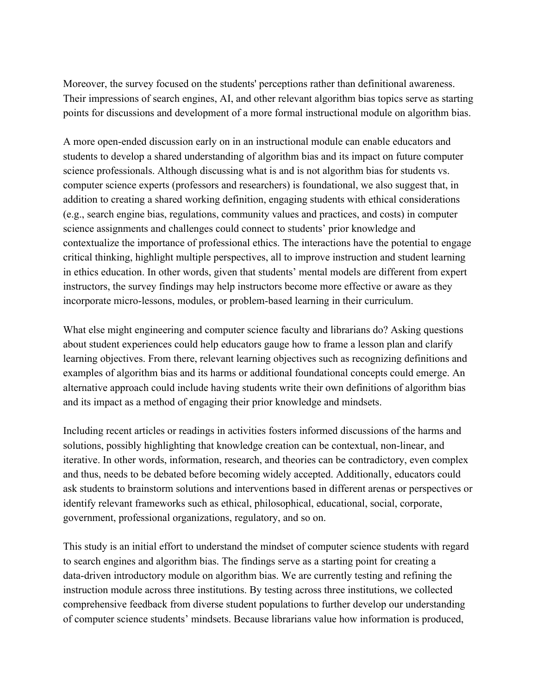Moreover, the survey focused on the students' perceptions rather than definitional awareness. Their impressions of search engines, AI, and other relevant algorithm bias topics serve as starting points for discussions and development of a more formal instructional module on algorithm bias.

A more open-ended discussion early on in an instructional module can enable educators and students to develop a shared understanding of algorithm bias and its impact on future computer science professionals. Although discussing what is and is not algorithm bias for students vs. computer science experts (professors and researchers) is foundational, we also suggest that, in addition to creating a shared working definition, engaging students with ethical considerations (e.g., search engine bias, regulations, community values and practices, and costs) in computer science assignments and challenges could connect to students' prior knowledge and contextualize the importance of professional ethics. The interactions have the potential to engage critical thinking, highlight multiple perspectives, all to improve instruction and student learning in ethics education. In other words, given that students' mental models are different from expert instructors, the survey findings may help instructors become more effective or aware as they incorporate micro-lessons, modules, or problem-based learning in their curriculum.

What else might engineering and computer science faculty and librarians do? Asking questions about student experiences could help educators gauge how to frame a lesson plan and clarify learning objectives. From there, relevant learning objectives such as recognizing definitions and examples of algorithm bias and its harms or additional foundational concepts could emerge. An alternative approach could include having students write their own definitions of algorithm bias and its impact as a method of engaging their prior knowledge and mindsets.

Including recent articles or readings in activities fosters informed discussions of the harms and solutions, possibly highlighting that knowledge creation can be contextual, non-linear, and iterative. In other words, information, research, and theories can be contradictory, even complex and thus, needs to be debated before becoming widely accepted. Additionally, educators could ask students to brainstorm solutions and interventions based in different arenas or perspectives or identify relevant frameworks such as ethical, philosophical, educational, social, corporate, government, professional organizations, regulatory, and so on.

This study is an initial effort to understand the mindset of computer science students with regard to search engines and algorithm bias. The findings serve as a starting point for creating a data-driven introductory module on algorithm bias. We are currently testing and refining the instruction module across three institutions. By testing across three institutions, we collected comprehensive feedback from diverse student populations to further develop our understanding of computer science students' mindsets. Because librarians value how information is produced,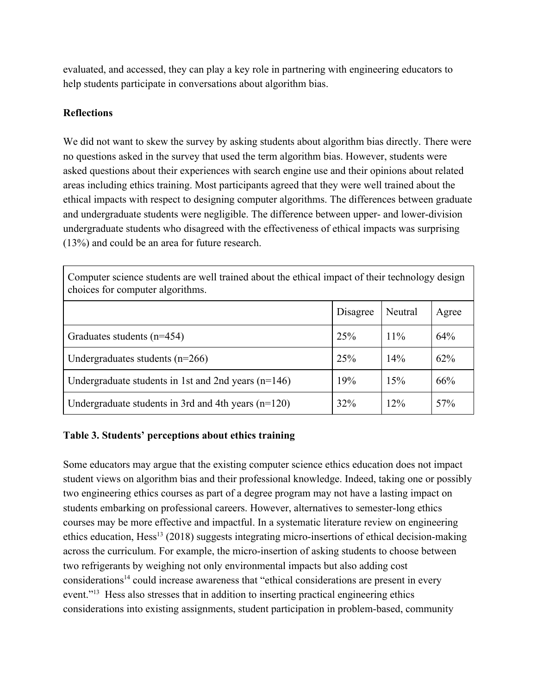evaluated, and accessed, they can play a key role in partnering with engineering educators to help students participate in conversations about algorithm bias.

#### **Reflections**

We did not want to skew the survey by asking students about algorithm bias directly. There were no questions asked in the survey that used the term algorithm bias. However, students were asked questions about their experiences with search engine use and their opinions about related areas including ethics training. Most participants agreed that they were well trained about the ethical impacts with respect to designing computer algorithms. The differences between graduate and undergraduate students were negligible. The difference between upper- and lower-division undergraduate students who disagreed with the effectiveness of ethical impacts was surprising (13%) and could be an area for future research.

| Computer science students are well trained about the ethical impact of their technology design<br>choices for computer algorithms. |          |         |       |  |  |
|------------------------------------------------------------------------------------------------------------------------------------|----------|---------|-------|--|--|
|                                                                                                                                    | Disagree | Neutral | Agree |  |  |
| Graduates students $(n=454)$                                                                                                       | 25%      | $11\%$  | 64%   |  |  |
| Undergraduates students $(n=266)$                                                                                                  | 25%      | 14%     | 62%   |  |  |
| Undergraduate students in 1st and 2nd years $(n=146)$                                                                              | 19%      | 15%     | 66%   |  |  |
| Undergraduate students in 3rd and 4th years $(n=120)$                                                                              | 32%      | 12%     | 57%   |  |  |

### **Table 3. Students' perceptions about ethics training**

Some educators may argue that the existing computer science ethics education does not impact student views on algorithm bias and their professional knowledge. Indeed, taking one or possibly two engineering ethics courses as part of a degree program may not have a lasting impact on students embarking on professional careers. However, alternatives to semester-long ethics courses may be more effective and impactful. In a systematic literature review on engineering ethics education, Hess<sup>13</sup> (2018) suggests integrating micro-insertions of ethical decision-making across the curriculum. For example, the micro-insertion of asking students to choose between two refrigerants by weighing not only environmental impacts but also adding cost considerations<sup>14</sup> could increase awareness that "ethical considerations are present in every event."<sup>13</sup> Hess also stresses that in addition to inserting practical engineering ethics considerations into existing assignments, student participation in problem-based, community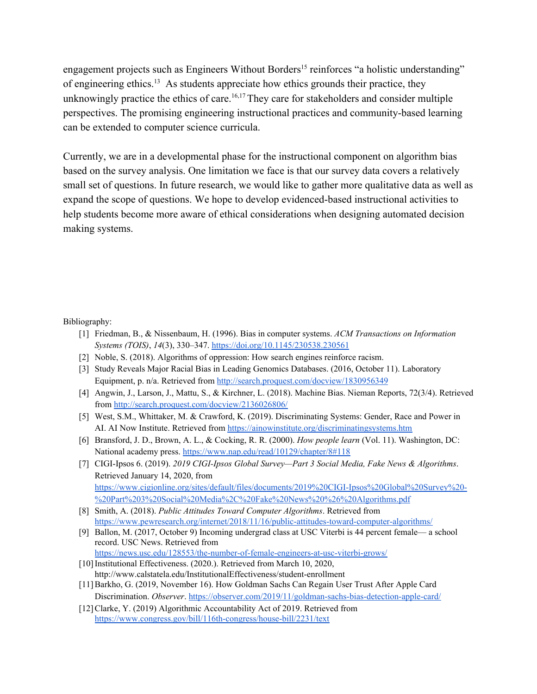engagement projects such as Engineers Without Borders<sup>15</sup> reinforces "a holistic understanding" of engineering ethics.<sup>13</sup> As students appreciate how ethics grounds their practice, they unknowingly practice the ethics of care.<sup>16,17</sup>They care for stakeholders and consider multiple perspectives. The promising engineering instructional practices and community-based learning can be extended to computer science curricula.

Currently, we are in a developmental phase for the instructional component on algorithm bias based on the survey analysis. One limitation we face is that our survey data covers a relatively small set of questions. In future research, we would like to gather more qualitative data as well as expand the scope of questions. We hope to develop evidenced-based instructional activities to help students become more aware of ethical considerations when designing automated decision making systems.

Bibliography:

- [1] Friedman, B., & Nissenbaum, H. (1996). Bias in computer systems. *ACM Transactions on Information Systems (TOIS)*, *14*(3), 330–347. <https://doi.org/10.1145/230538.230561>
- [2] Noble, S. (2018). Algorithms of oppression: How search engines reinforce racism.
- [3] Study Reveals Major Racial Bias in Leading Genomics Databases. (2016, October 11). Laboratory Equipment, p. n/a. Retrieved from <http://search.proquest.com/docview/1830956349>
- [4] Angwin, J., Larson, J., Mattu, S., & Kirchner, L. (2018). Machine Bias. Nieman Reports, 72(3/4). Retrieved from <http://search.proquest.com/docview/2136026806/>
- [5] West, S.M., Whittaker, M. & Crawford, K. (2019). Discriminating Systems: Gender, Race and Power in AI. AI Now Institute. Retrieved from <https://ainowinstitute.org/discriminatingsystems.htm>
- [6] Bransford, J. D., Brown, A. L., & Cocking, R. R. (2000). *How people learn* (Vol. 11). Washington, DC: National academy press. <https://www.nap.edu/read/10129/chapter/8#118>
- [7] CIGI-Ipsos 6. (2019). *2019 CIGI-Ipsos Global Survey—Part 3 Social Media, Fake News & Algorithms*. Retrieved January 14, 2020, fro[m](https://www.cigionline.org/sites/default/files/documents/2019%20CIGI-Ipsos%20Global%20Survey%20-%20Part%203%20Social%20Media%2C%20Fake%20News%20%26%20Algorithms.pdf) [https://www.cigionline.org/sites/default/files/documents/2019%20CIGI-Ipsos%20Global%20Survey%20-](https://www.cigionline.org/sites/default/files/documents/2019%20CIGI-Ipsos%20Global%20Survey%20-%20Part%203%20Social%20Media%2C%20Fake%20News%20%26%20Algorithms.pdf) [%20Part%203%20Social%20Media%2C%20Fake%20News%20%26%20Algorithms.pdf](https://www.cigionline.org/sites/default/files/documents/2019%20CIGI-Ipsos%20Global%20Survey%20-%20Part%203%20Social%20Media%2C%20Fake%20News%20%26%20Algorithms.pdf)
- [8] Smith, A. (2018). *Public Attitudes Toward Computer Algorithms*. Retrieved from <https://www.pewresearch.org/internet/2018/11/16/public-attitudes-toward-computer-algorithms/>
- [9] Ballon, M. (2017, October 9) Incoming undergrad class at USC Viterbi is 44 percent female— a school record. USC News. Retrieved from <https://news.usc.edu/128553/the-number-of-female-engineers-at-usc-viterbi-grows/>
- [10] Institutional Effectiveness. (2020.). Retrieved from March 10, 2020, http://www.calstatela.edu/InstitutionalEffectiveness/student-enrollment
- [11]Barkho, G. (2019, November 16). How Goldman Sachs Can Regain User Trust After Apple Card Discrimination. *Observer*. <https://observer.com/2019/11/goldman-sachs-bias-detection-apple-card/>
- [12] Clarke, Y. (2019) Algorithmic Accountability Act of 2019. Retrieved from <https://www.congress.gov/bill/116th-congress/house-bill/2231/text>